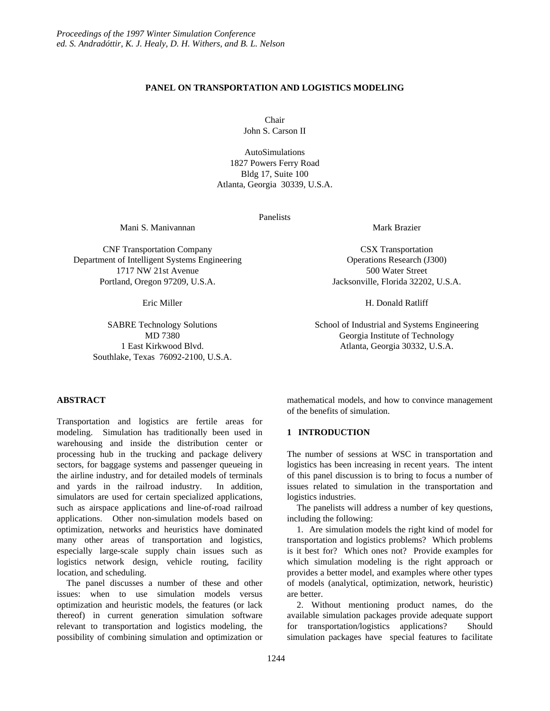# **PANEL ON TRANSPORTATION AND LOGISTICS MODELING**

Chair John S. Carson II

AutoSimulations 1827 Powers Ferry Road Bldg 17, Suite 100 Atlanta, Georgia 30339, U.S.A.

Panelists

Mani S. Manivannan

CNF Transportation Company Department of Intelligent Systems Engineering 1717 NW 21st Avenue Portland, Oregon 97209, U.S.A.

Eric Miller

SABRE Technology Solutions MD 7380 1 East Kirkwood Blvd. Southlake, Texas 76092-2100, U.S.A. Mark Brazier

CSX Transportation Operations Research (J300) 500 Water Street Jacksonville, Florida 32202, U.S.A.

H. Donald Ratliff

School of Industrial and Systems Engineering Georgia Institute of Technology Atlanta, Georgia 30332, U.S.A.

## **ABSTRACT**

Transportation and logistics are fertile areas for modeling. Simulation has traditionally been used in warehousing and inside the distribution center or processing hub in the trucking and package delivery sectors, for baggage systems and passenger queueing in the airline industry, and for detailed models of terminals and yards in the railroad industry. In addition, simulators are used for certain specialized applications, such as airspace applications and line-of-road railroad applications. Other non-simulation models based on optimization, networks and heuristics have dominated many other areas of transportation and logistics, especially large-scale supply chain issues such as logistics network design, vehicle routing, facility location, and scheduling.

The panel discusses a number of these and other issues: when to use simulation models versus optimization and heuristic models, the features (or lack thereof) in current generation simulation software relevant to transportation and logistics modeling, the possibility of combining simulation and optimization or

mathematical models, and how to convince management of the benefits of simulation.

## **1 INTRODUCTION**

The number of sessions at WSC in transportation and logistics has been increasing in recent years. The intent of this panel discussion is to bring to focus a number of issues related to simulation in the transportation and logistics industries.

The panelists will address a number of key questions, including the following:

1. Are simulation models the right kind of model for transportation and logistics problems? Which problems is it best for? Which ones not? Provide examples for which simulation modeling is the right approach or provides a better model, and examples where other types of models (analytical, optimization, network, heuristic) are better.

2. Without mentioning product names, do the available simulation packages provide adequate support for transportation/logistics applications? Should simulation packages have special features to facilitate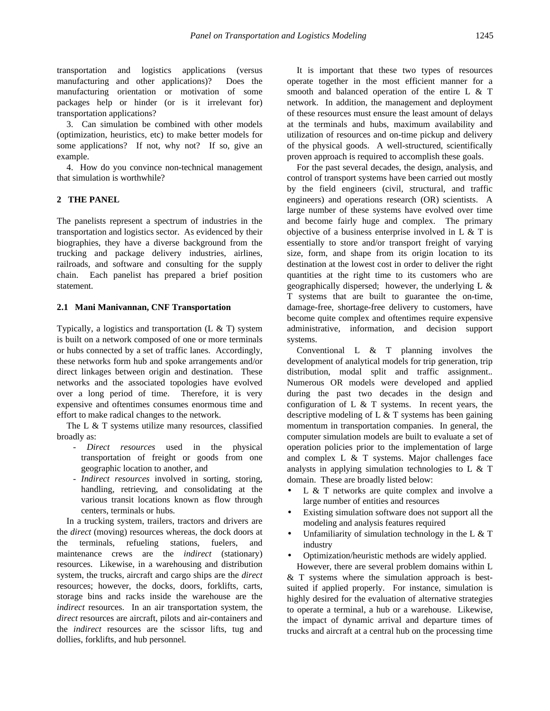transportation and logistics applications (versus manufacturing and other applications)? Does the manufacturing orientation or motivation of some packages help or hinder (or is it irrelevant for) transportation applications?

3. Can simulation be combined with other models (optimization, heuristics, etc) to make better models for some applications? If not, why not? If so, give an example.

4. How do you convince non-technical management that simulation is worthwhile?

# **2 THE PANEL**

The panelists represent a spectrum of industries in the transportation and logistics sector. As evidenced by their biographies, they have a diverse background from the trucking and package delivery industries, airlines, railroads, and software and consulting for the supply chain. Each panelist has prepared a brief position statement.

#### **2.1 Mani Manivannan, CNF Transportation**

Typically, a logistics and transportation  $(L \& T)$  system is built on a network composed of one or more terminals or hubs connected by a set of traffic lanes. Accordingly, these networks form hub and spoke arrangements and/or direct linkages between origin and destination. These networks and the associated topologies have evolved over a long period of time. Therefore, it is very expensive and oftentimes consumes enormous time and effort to make radical changes to the network.

The L & T systems utilize many resources, classified broadly as:

- *Direct resources* used in the physical transportation of freight or goods from one geographic location to another*,* and
- *Indirect resources* involved in sorting, storing, handling, retrieving, and consolidating at the various transit locations known as flow through centers, terminals or hubs*.*

In a trucking system, trailers, tractors and drivers are the *direct* (moving) resources whereas, the dock doors at the terminals, refueling stations, fuelers, and maintenance crews are the *indirect* (stationary) resources. Likewise, in a warehousing and distribution system, the trucks, aircraft and cargo ships are the *direct* resources; however, the docks, doors, forklifts, carts, storage bins and racks inside the warehouse are the *indirect* resources. In an air transportation system, the *direct* resources are aircraft, pilots and air-containers and the *indirect* resources are the scissor lifts, tug and dollies, forklifts, and hub personnel*.*

It is important that these two types of resources operate together in the most efficient manner for a smooth and balanced operation of the entire L & T network. In addition, the management and deployment of these resources must ensure the least amount of delays at the terminals and hubs, maximum availability and utilization of resources and on-time pickup and delivery of the physical goods. A well-structured, scientifically proven approach is required to accomplish these goals.

For the past several decades, the design, analysis, and control of transport systems have been carried out mostly by the field engineers (civil, structural, and traffic engineers) and operations research (OR) scientists. A large number of these systems have evolved over time and become fairly huge and complex. The primary objective of a business enterprise involved in L & T is essentially to store and/or transport freight of varying size, form, and shape from its origin location to its destination at the lowest cost in order to deliver the right quantities at the right time to its customers who are geographically dispersed; however, the underlying L & T systems that are built to guarantee the on-time, damage-free, shortage-free delivery to customers, have become quite complex and oftentimes require expensive administrative, information, and decision support systems.

Conventional L & T planning involves the development of analytical models for trip generation, trip distribution, modal split and traffic assignment.*.* Numerous OR models were developed and applied during the past two decades in the design and configuration of  $L \& T$  systems. In recent years, the descriptive modeling of L & T systems has been gaining momentum in transportation companies. In general, the computer simulation models are built to evaluate a set of operation policies prior to the implementation of large and complex L & T systems. Major challenges face analysts in applying simulation technologies to L & T domain. These are broadly listed below:

- $L \& T$  networks are quite complex and involve a large number of entities and resources
- Existing simulation software does not support all the modeling and analysis features required
- Unfamiliarity of simulation technology in the L  $&$  T industry
- Optimization/heuristic methods are widely applied.

However, there are several problem domains within L & T systems where the simulation approach is bestsuited if applied properly. For instance, simulation is highly desired for the evaluation of alternative strategies to operate a terminal, a hub or a warehouse. Likewise, the impact of dynamic arrival and departure times of trucks and aircraft at a central hub on the processing time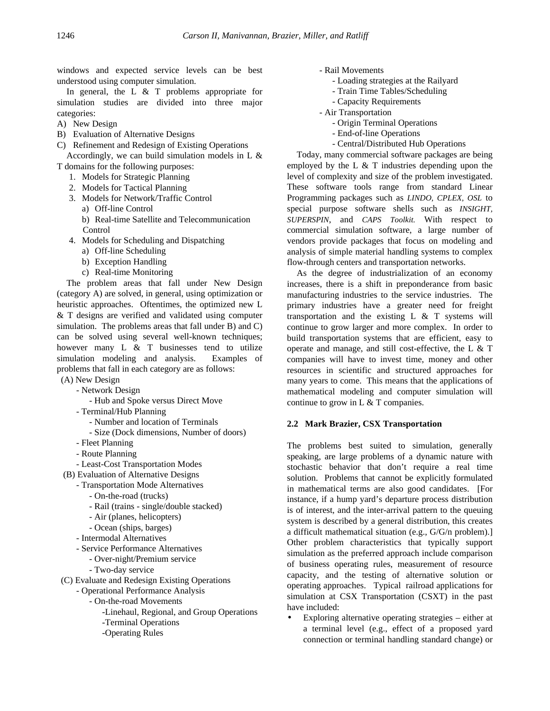windows and expected service levels can be best understood using computer simulation.

In general, the L & T problems appropriate for simulation studies are divided into three major categories:

- A) New Design
- B) Evaluation of Alternative Designs

C) Refinement and Redesign of Existing Operations Accordingly, we can build simulation models in L &

T domains for the following purposes:

- 1. Models for Strategic Planning
- 2. Models for Tactical Planning
- 3. Models for Network/Traffic Control
	- a) Off-line Control
	- b) Real-time Satellite and Telecommunication Control
- 4. Models for Scheduling and Dispatching
	- a) Off-line Scheduling
	- b) Exception Handling
	- c) Real-time Monitoring

The problem areas that fall under New Design (category A) are solved, in general, using optimization or heuristic approaches. Oftentimes, the optimized new L & T designs are verified and validated using computer simulation. The problems areas that fall under B) and C) can be solved using several well-known techniques; however many  $L \& T$  businesses tend to utilize simulation modeling and analysis. Examples of problems that fall in each category are as follows:

(A) New Design

- Network Design
- Hub and Spoke versus Direct Move
- Terminal/Hub Planning
	- Number and location of Terminals
	- Size (Dock dimensions, Number of doors)
- Fleet Planning
- Route Planning
- Least-Cost Transportation Modes
- (B) Evaluation of Alternative Designs
	- Transportation Mode Alternatives
		- On-the-road (trucks)
		- Rail (trains single/double stacked)
		- Air (planes, helicopters)
		- Ocean (ships, barges)
	- Intermodal Alternatives
	- Service Performance Alternatives
		- Over-night/Premium service
		- Two-day service
- (C) Evaluate and Redesign Existing Operations
	- Operational Performance Analysis
		- On-the-road Movements
			- -Linehaul, Regional, and Group Operations
			- -Terminal Operations
			- -Operating Rules
- Rail Movements
	- Loading strategies at the Railyard
	- Train Time Tables/Scheduling
	- Capacity Requirements
- Air Transportation
	- Origin Terminal Operations
	- End-of-line Operations
	- Central/Distributed Hub Operations

Today, many commercial software packages are being employed by the L  $\&$  T industries depending upon the level of complexity and size of the problem investigated. These software tools range from standard Linear Programming packages such as *LINDO, CPLEX, OSL* to special purpose software shells such as *INSIGHT, SUPERSPIN*, and *CAPS Toolkit.* With respect to commercial simulation software, a large number of vendors provide packages that focus on modeling and analysis of simple material handling systems to complex flow-through centers and transportation networks.

As the degree of industrialization of an economy increases, there is a shift in preponderance from basic manufacturing industries to the service industries. The primary industries have a greater need for freight transportation and the existing L & T systems will continue to grow larger and more complex. In order to build transportation systems that are efficient, easy to operate and manage, and still cost-effective, the L & T companies will have to invest time, money and other resources in scientific and structured approaches for many years to come. This means that the applications of mathematical modeling and computer simulation will continue to grow in L & T companies.

### **2.2 Mark Brazier, CSX Transportation**

The problems best suited to simulation, generally speaking, are large problems of a dynamic nature with stochastic behavior that don't require a real time solution. Problems that cannot be explicitly formulated in mathematical terms are also good candidates. [For instance, if a hump yard's departure process distribution is of interest, and the inter-arrival pattern to the queuing system is described by a general distribution, this creates a difficult mathematical situation (e.g., G/G/n problem).] Other problem characteristics that typically support simulation as the preferred approach include comparison of business operating rules, measurement of resource capacity, and the testing of alternative solution or operating approaches. Typical railroad applications for simulation at CSX Transportation (CSXT) in the past have included:

• Exploring alternative operating strategies – either at a terminal level (e.g., effect of a proposed yard connection or terminal handling standard change) or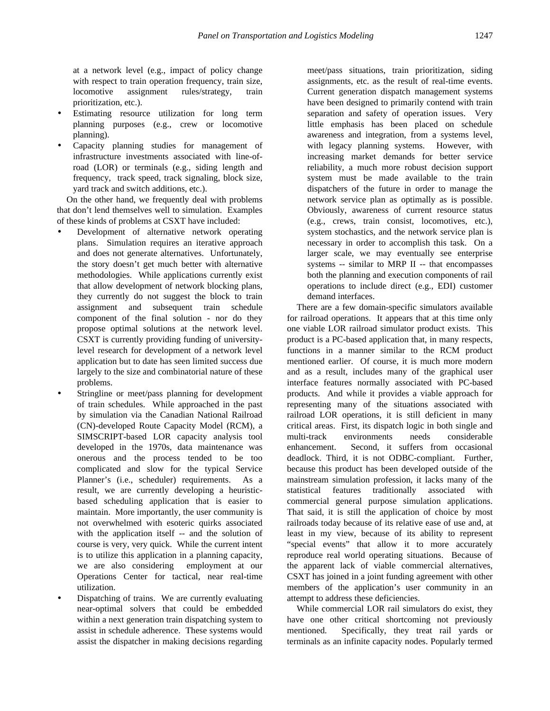at a network level (e.g., impact of policy change with respect to train operation frequency, train size, locomotive assignment rules/strategy, train prioritization, etc.).

- Estimating resource utilization for long term planning purposes (e.g., crew or locomotive planning).
- Capacity planning studies for management of infrastructure investments associated with line-ofroad (LOR) or terminals (e.g., siding length and frequency, track speed, track signaling, block size, yard track and switch additions, etc.).

On the other hand, we frequently deal with problems that don't lend themselves well to simulation. Examples of these kinds of problems at CSXT have included:

- Development of alternative network operating plans. Simulation requires an iterative approach and does not generate alternatives. Unfortunately, the story doesn't get much better with alternative methodologies. While applications currently exist that allow development of network blocking plans, they currently do not suggest the block to train assignment and subsequent train schedule component of the final solution - nor do they propose optimal solutions at the network level. CSXT is currently providing funding of universitylevel research for development of a network level application but to date has seen limited success due largely to the size and combinatorial nature of these problems.
- Stringline or meet/pass planning for development of train schedules. While approached in the past by simulation via the Canadian National Railroad (CN)-developed Route Capacity Model (RCM), a SIMSCRIPT-based LOR capacity analysis tool developed in the 1970s, data maintenance was onerous and the process tended to be too complicated and slow for the typical Service Planner's (i.e., scheduler) requirements. As a result, we are currently developing a heuristicbased scheduling application that is easier to maintain. More importantly, the user community is not overwhelmed with esoteric quirks associated with the application itself -- and the solution of course is very, very quick. While the current intent is to utilize this application in a planning capacity, we are also considering employment at our Operations Center for tactical, near real-time utilization.
- Dispatching of trains. We are currently evaluating near-optimal solvers that could be embedded within a next generation train dispatching system to assist in schedule adherence. These systems would assist the dispatcher in making decisions regarding

meet/pass situations, train prioritization, siding assignments, etc. as the result of real-time events. Current generation dispatch management systems have been designed to primarily contend with train separation and safety of operation issues. Very little emphasis has been placed on schedule awareness and integration, from a systems level, with legacy planning systems. However, with increasing market demands for better service reliability, a much more robust decision support system must be made available to the train dispatchers of the future in order to manage the network service plan as optimally as is possible. Obviously, awareness of current resource status (e.g., crews, train consist, locomotives, etc.), system stochastics, and the network service plan is necessary in order to accomplish this task. On a larger scale, we may eventually see enterprise systems -- similar to MRP II -- that encompasses both the planning and execution components of rail operations to include direct (e.g., EDI) customer demand interfaces.

There are a few domain-specific simulators available for railroad operations. It appears that at this time only one viable LOR railroad simulator product exists. This product is a PC-based application that, in many respects, functions in a manner similar to the RCM product mentioned earlier. Of course, it is much more modern and as a result, includes many of the graphical user interface features normally associated with PC-based products. And while it provides a viable approach for representing many of the situations associated with railroad LOR operations, it is still deficient in many critical areas. First, its dispatch logic in both single and multi-track environments needs considerable enhancement. Second, it suffers from occasional deadlock. Third, it is not ODBC-compliant. Further, because this product has been developed outside of the mainstream simulation profession, it lacks many of the statistical features traditionally associated with commercial general purpose simulation applications. That said, it is still the application of choice by most railroads today because of its relative ease of use and, at least in my view, because of its ability to represent "special events" that allow it to more accurately reproduce real world operating situations. Because of the apparent lack of viable commercial alternatives, CSXT has joined in a joint funding agreement with other members of the application's user community in an attempt to address these deficiencies.

While commercial LOR rail simulators do exist, they have one other critical shortcoming not previously mentioned. Specifically, they treat rail yards or terminals as an infinite capacity nodes. Popularly termed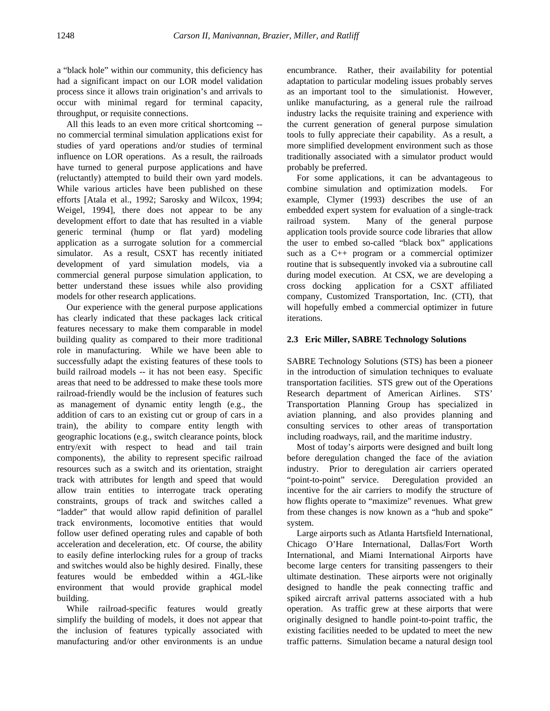a "black hole" within our community, this deficiency has had a significant impact on our LOR model validation process since it allows train origination's and arrivals to occur with minimal regard for terminal capacity, throughput, or requisite connections.

All this leads to an even more critical shortcoming - no commercial terminal simulation applications exist for studies of yard operations and/or studies of terminal influence on LOR operations. As a result, the railroads have turned to general purpose applications and have (reluctantly) attempted to build their own yard models. While various articles have been published on these efforts [Atala et al., 1992; Sarosky and Wilcox, 1994; Weigel, 1994], there does not appear to be any development effort to date that has resulted in a viable generic terminal (hump or flat yard) modeling application as a surrogate solution for a commercial simulator. As a result, CSXT has recently initiated development of yard simulation models, via a commercial general purpose simulation application, to better understand these issues while also providing models for other research applications.

Our experience with the general purpose applications has clearly indicated that these packages lack critical features necessary to make them comparable in model building quality as compared to their more traditional role in manufacturing. While we have been able to successfully adapt the existing features of these tools to build railroad models -- it has not been easy. Specific areas that need to be addressed to make these tools more railroad-friendly would be the inclusion of features such as management of dynamic entity length (e.g., the addition of cars to an existing cut or group of cars in a train), the ability to compare entity length with geographic locations (e.g., switch clearance points, block entry/exit with respect to head and tail train components), the ability to represent specific railroad resources such as a switch and its orientation, straight track with attributes for length and speed that would allow train entities to interrogate track operating constraints, groups of track and switches called a "ladder" that would allow rapid definition of parallel track environments, locomotive entities that would follow user defined operating rules and capable of both acceleration and deceleration, etc. Of course, the ability to easily define interlocking rules for a group of tracks and switches would also be highly desired. Finally, these features would be embedded within a 4GL-like environment that would provide graphical model building.

While railroad-specific features would greatly simplify the building of models, it does not appear that the inclusion of features typically associated with manufacturing and/or other environments is an undue encumbrance. Rather, their availability for potential adaptation to particular modeling issues probably serves as an important tool to the simulationist. However, unlike manufacturing, as a general rule the railroad industry lacks the requisite training and experience with the current generation of general purpose simulation tools to fully appreciate their capability. As a result, a more simplified development environment such as those traditionally associated with a simulator product would probably be preferred.

For some applications, it can be advantageous to combine simulation and optimization models. For example, Clymer (1993) describes the use of an embedded expert system for evaluation of a single-track railroad system. Many of the general purpose application tools provide source code libraries that allow the user to embed so-called "black box" applications such as a C++ program or a commercial optimizer routine that is subsequently invoked via a subroutine call during model execution. At CSX, we are developing a cross docking application for a CSXT affiliated company, Customized Transportation, Inc. (CTI), that will hopefully embed a commercial optimizer in future iterations.

### **2.3 Eric Miller, SABRE Technology Solutions**

SABRE Technology Solutions (STS) has been a pioneer in the introduction of simulation techniques to evaluate transportation facilities. STS grew out of the Operations Research department of American Airlines. STS' Transportation Planning Group has specialized in aviation planning, and also provides planning and consulting services to other areas of transportation including roadways, rail, and the maritime industry.

Most of today's airports were designed and built long before deregulation changed the face of the aviation industry. Prior to deregulation air carriers operated "point-to-point" service. Deregulation provided an incentive for the air carriers to modify the structure of how flights operate to "maximize" revenues. What grew from these changes is now known as a "hub and spoke" system.

Large airports such as Atlanta Hartsfield International, Chicago O'Hare International, Dallas/Fort Worth International, and Miami International Airports have become large centers for transiting passengers to their ultimate destination. These airports were not originally designed to handle the peak connecting traffic and spiked aircraft arrival patterns associated with a hub operation. As traffic grew at these airports that were originally designed to handle point-to-point traffic, the existing facilities needed to be updated to meet the new traffic patterns. Simulation became a natural design tool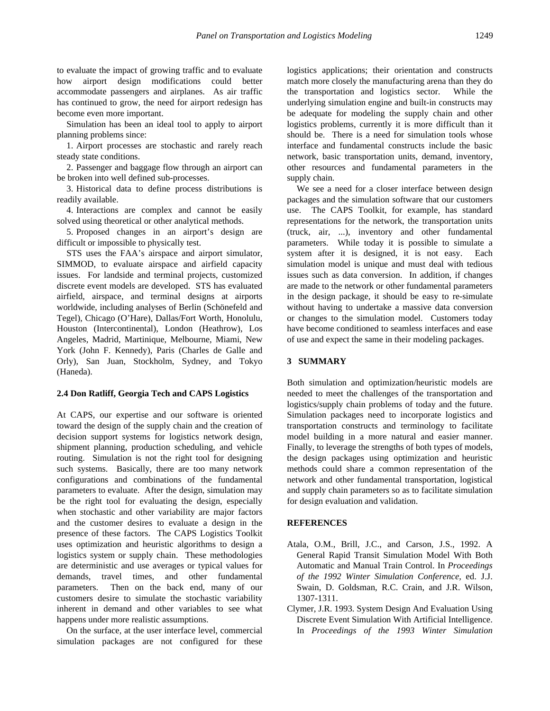to evaluate the impact of growing traffic and to evaluate how airport design modifications could better accommodate passengers and airplanes. As air traffic has continued to grow, the need for airport redesign has become even more important.

Simulation has been an ideal tool to apply to airport planning problems since:

1. Airport processes are stochastic and rarely reach steady state conditions.

2. Passenger and baggage flow through an airport can be broken into well defined sub-processes.

3. Historical data to define process distributions is readily available.

4. Interactions are complex and cannot be easily solved using theoretical or other analytical methods.

5. Proposed changes in an airport's design are difficult or impossible to physically test.

STS uses the FAA's airspace and airport simulator, SIMMOD, to evaluate airspace and airfield capacity issues. For landside and terminal projects, customized discrete event models are developed. STS has evaluated airfield, airspace, and terminal designs at airports worldwide, including analyses of Berlin (Schönefeld and Tegel), Chicago (O'Hare), Dallas/Fort Worth, Honolulu, Houston (Intercontinental), London (Heathrow), Los Angeles, Madrid, Martinique, Melbourne, Miami, New York (John F. Kennedy), Paris (Charles de Galle and Orly), San Juan, Stockholm, Sydney, and Tokyo (Haneda).

#### **2.4 Don Ratliff, Georgia Tech and CAPS Logistics**

At CAPS, our expertise and our software is oriented toward the design of the supply chain and the creation of decision support systems for logistics network design, shipment planning, production scheduling, and vehicle routing. Simulation is not the right tool for designing such systems. Basically, there are too many network configurations and combinations of the fundamental parameters to evaluate. After the design, simulation may be the right tool for evaluating the design, especially when stochastic and other variability are major factors and the customer desires to evaluate a design in the presence of these factors. The CAPS Logistics Toolkit uses optimization and heuristic algorithms to design a logistics system or supply chain. These methodologies are deterministic and use averages or typical values for demands, travel times, and other fundamental parameters. Then on the back end, many of our customers desire to simulate the stochastic variability inherent in demand and other variables to see what happens under more realistic assumptions.

On the surface, at the user interface level, commercial simulation packages are not configured for these

logistics applications; their orientation and constructs match more closely the manufacturing arena than they do the transportation and logistics sector. While the underlying simulation engine and built-in constructs may be adequate for modeling the supply chain and other logistics problems, currently it is more difficult than it should be. There is a need for simulation tools whose interface and fundamental constructs include the basic network, basic transportation units, demand, inventory, other resources and fundamental parameters in the supply chain.

We see a need for a closer interface between design packages and the simulation software that our customers use. The CAPS Toolkit, for example, has standard representations for the network, the transportation units (truck, air, ...), inventory and other fundamental parameters. While today it is possible to simulate a system after it is designed, it is not easy. Each simulation model is unique and must deal with tedious issues such as data conversion. In addition, if changes are made to the network or other fundamental parameters in the design package, it should be easy to re-simulate without having to undertake a massive data conversion or changes to the simulation model. Customers today have become conditioned to seamless interfaces and ease of use and expect the same in their modeling packages.

### **3 SUMMARY**

Both simulation and optimization/heuristic models are needed to meet the challenges of the transportation and logistics/supply chain problems of today and the future. Simulation packages need to incorporate logistics and transportation constructs and terminology to facilitate model building in a more natural and easier manner. Finally, to leverage the strengths of both types of models, the design packages using optimization and heuristic methods could share a common representation of the network and other fundamental transportation, logistical and supply chain parameters so as to facilitate simulation for design evaluation and validation.

#### **REFERENCES**

- Atala, O.M., Brill, J.C., and Carson, J.S., 1992. A General Rapid Transit Simulation Model With Both Automatic and Manual Train Control. In *Proceedings of the 1992 Winter Simulation Conference,* ed. J.J. Swain, D. Goldsman, R.C. Crain, and J.R. Wilson, 1307-1311.
- Clymer, J.R. 1993. System Design And Evaluation Using Discrete Event Simulation With Artificial Intelligence. In *Proceedings of the 1993 Winter Simulation*